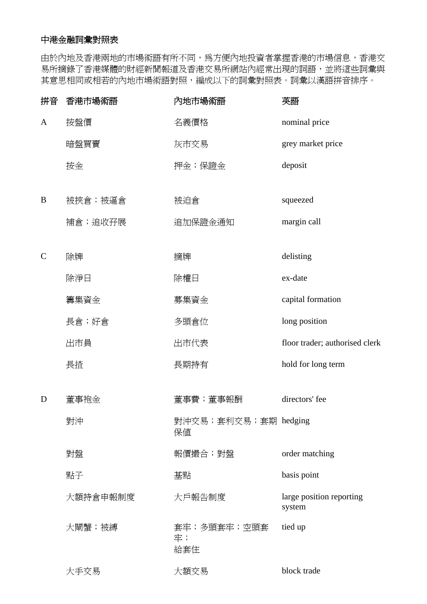## 中港金融詞彙對照表

由於內地及香港兩地的市場術語有所不同,為方便內地投資者掌握香港的市場信息,香港交 易所摘錄了香港媒體的財經新聞報道及香港交易所網站內經常出現的詞語,並將這些詞彙與 其意思相同或相若的內地市場術語對照,編成以下的詞彙對照表。詞彙以漢語拼音排序。

| 拼音            | 香港市場術語   | 內地市場術語                     | 英語                                 |
|---------------|----------|----------------------------|------------------------------------|
| $\mathbf{A}$  | 按盤價      | 名義價格                       | nominal price                      |
|               | 暗盤買賣     | 灰市交易                       | grey market price                  |
|               | 按金       | 押金;保證金                     | deposit                            |
| B             | 被挾倉;被逼倉  | 被迫倉                        | squeezed                           |
|               | 補倉;追收孖展  | 追加保證金通知                    | margin call                        |
| $\mathcal{C}$ | 除牌       | 摘牌                         | delisting                          |
|               | 除淨日      | 除權日                        | ex-date                            |
|               | 籌集資金     | 募集資金                       | capital formation                  |
|               | 長倉;好倉    | 多頭倉位                       | long position                      |
|               | 出市員      | 出市代表                       | floor trader; authorised clerk     |
|               | 長揸       | 長期持有                       | hold for long term                 |
| D             | 董事袍金     | 董事費;董事報酬                   | directors' fee                     |
|               | 對沖       | 對沖交易;套利交易;套期 hedging<br>保値 |                                    |
|               | 對盤       | 報價撮合;對盤                    | order matching                     |
|               | 點子       | 基點                         | basis point                        |
|               | 大額持倉申報制度 | 大戶報告制度                     | large position reporting<br>system |
|               | 大閘蟹;被縛   | 套牢;多頭套牢;空頭套<br>牢;<br>給套住   | tied up                            |
|               | 大手交易     | 大額交易                       | block trade                        |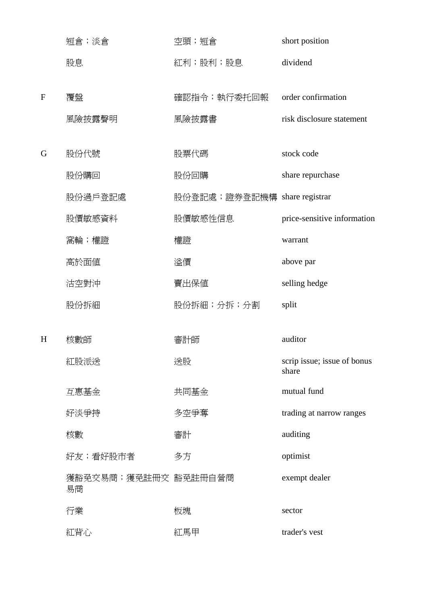|   | 短倉; 淡倉                     | 空頭;短倉                        | short position                       |
|---|----------------------------|------------------------------|--------------------------------------|
|   | 股息                         | 紅利;股利;股息                     | dividend                             |
|   |                            |                              |                                      |
| F | 覆盤                         | 確認指令;執行委托回報                  | order confirmation                   |
|   | 風險披露聲明                     | 風險披露書                        | risk disclosure statement            |
| G | 股份代號                       | 股票代碼                         | stock code                           |
|   | 股份購回                       | 股份回購                         | share repurchase                     |
|   | 股份過戶登記處                    | 股份登記處;證券登記機構 share registrar |                                      |
|   | 股價敏感資料                     | 股價敏感性信息                      | price-sensitive information          |
|   | 窩輪;權證                      | 權證                           | warrant                              |
|   | 高於面値                       | 溢價                           | above par                            |
|   | 沽空對沖                       | 賣出保値                         | selling hedge                        |
|   | 股份拆細                       | 股份拆細;分拆;分割                   | split                                |
| H | 核數師                        | 審計師                          | auditor                              |
|   |                            |                              |                                      |
|   | 紅股派送                       | 送股                           | scrip issue; issue of bonus<br>share |
|   | 互惠基金                       | 共同基金                         | mutual fund                          |
|   | 好淡爭持                       | 多空爭奪                         | trading at narrow ranges             |
|   | 核數                         | 審計                           | auditing                             |
|   | 好友;看好股市者                   | 多方                           | optimist                             |
|   | 獲豁免交易商;獲免註冊交 豁免註冊自營商<br>易商 |                              | exempt dealer                        |
|   | 行業                         | 板塊                           | sector                               |
|   | 紅背心                        | 紅馬甲                          | trader's vest                        |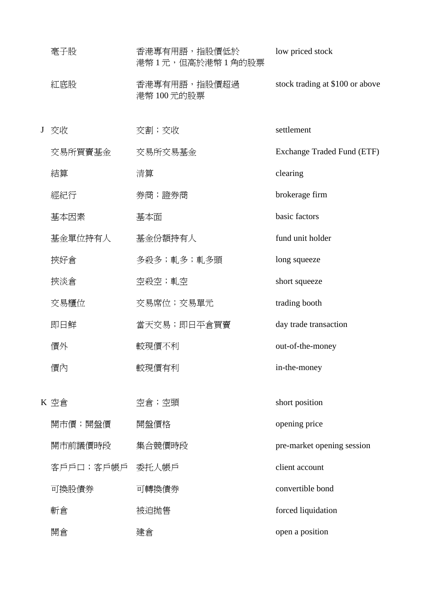|   | 毫子股             | 香港專有用語,指股價低於<br>港幣1元,但高於港幣1角的股票 | low priced stock                |
|---|-----------------|---------------------------------|---------------------------------|
|   | 紅底股             | 香港專有用語,指股價超過<br>港幣 100元的股票      | stock trading at \$100 or above |
| J | 交收              | 交割;交收                           | settlement                      |
|   | 交易所買賣基金         | 交易所交易基金                         | Exchange Traded Fund (ETF)      |
|   | 結算              | 清算                              | clearing                        |
|   | 經紀行             | 券商;證券商                          | brokerage firm                  |
|   | 基本因素            | 基本面                             | basic factors                   |
|   | 基金單位持有人         | 基金份額持有人                         | fund unit holder                |
|   | 挾好倉             | 多殺多;軋多;軋多頭                      | long squeeze                    |
|   | 挾淡倉             | 空殺空;軋空                          | short squeeze                   |
|   | 交易櫃位            | 交易席位; 交易單元                      | trading booth                   |
|   | 即日鮮             | 當天交易;即日平倉買賣                     | day trade transaction           |
|   | 價外              | 較現價不利                           | out-of-the-money                |
|   | 價內              | 較現價有利                           | in-the-money                    |
|   |                 |                                 |                                 |
|   | K 空倉            | 空倉;空頭                           | short position                  |
|   | 開市價;開盤價         | 開盤價格                            | opening price                   |
|   | 開市前議價時段         | 集合競價時段                          | pre-market opening session      |
|   | 客戶戶口;客戶帳戶 委托人帳戶 |                                 | client account                  |
|   | 可換股債券           | 可轉換債券                           | convertible bond                |
|   | 斬倉              | 被迫抛售                            | forced liquidation              |
|   | 開倉              | 建倉                              | open a position                 |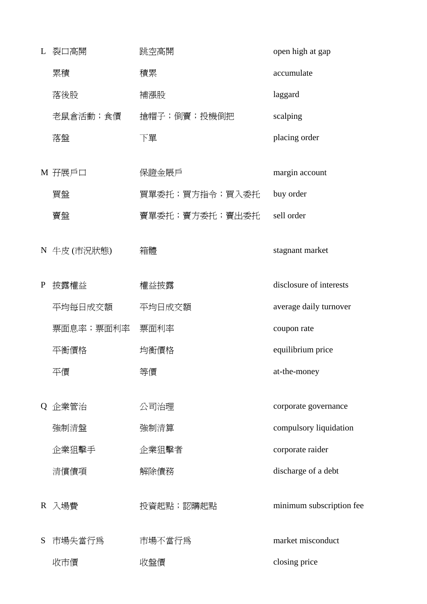L 裂口高開 跳空高開 open high at gap **累積** 積累 accumulate 落後股 補漲股 laggard 老鼠倉活動;食價 搶帽子;倒賣;投機倒把 scalping **落盤 下單 placing order** M 孖展戶口 保證金賬戶 margin account 買盤 買單委托;買方指令;買入委托 buy order 賣盤 賣單委托;賣方委托;賣出委托 sell order N 牛皮 (市況狀態) 箱體 stagnant market P 披露權益 <br>
槽益披露 <br>
Media disclosure of interests 平均每日成交額 平均日成交額 average daily turnover 票面息率;票面利率 票面利率 coupon rate 平衡價格 均衡價格 equilibrium price 平價 等價 at-the-money Q 企業管治 不可治理 corporate governance 強制清盤 強制清算 compulsory liquidation 企業狙擊手 企業狙擊者 corporate raider 清償債項 解除債務 discharge of a debt R 入場費 Present Present 投資起點;認購起點 Present minimum subscription fee S 市場失當行為 市場不當行為 market misconduct 收市價 收盤價 closing price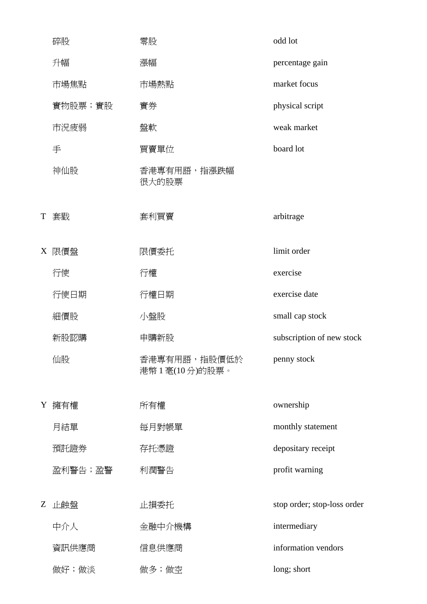|   | 碎股      | 零股                              | odd lot                     |
|---|---------|---------------------------------|-----------------------------|
|   | 升幅      | 漲幅                              | percentage gain             |
|   | 市場焦點    | 市場熱點                            | market focus                |
|   | 實物股票;實股 | 實券                              | physical script             |
|   | 市況疲弱    | 盤軟                              | weak market                 |
|   | 手       | 買賣單位                            | board lot                   |
|   | 神仙股     | 香港專有用語,指漲跌幅<br>很大的股票            |                             |
| T | 套戥      | 套利買賣                            | arbitrage                   |
|   | X 限價盤   | 限價委托                            | limit order                 |
|   | 行使      | 行權                              | exercise                    |
|   | 行使日期    | 行權日期                            | exercise date               |
|   | 細價股     | 小盤股                             | small cap stock             |
|   | 新股認購    | 申購新股                            | subscription of new stock   |
|   | 仙股      | 香港專有用語,指股價低於<br>港幣 1 毫(10分)的股票。 | penny stock                 |
| Y | 擁有權     | 所有權                             | ownership                   |
|   | 月結單     | 每月對帳單                           | monthly statement           |
|   | 預託證券    | 存托憑證                            | depositary receipt          |
|   | 盈利警告;盈警 | 利潤警告                            | profit warning              |
| Z | 止蝕盤     | 止損委托                            | stop order; stop-loss order |
|   | 中介人     | 金融中介機構                          | intermediary                |
|   | 資訊供應商   | 信息供應商                           | information vendors         |
|   | 做好;做淡   | 做多;做空                           | long; short                 |